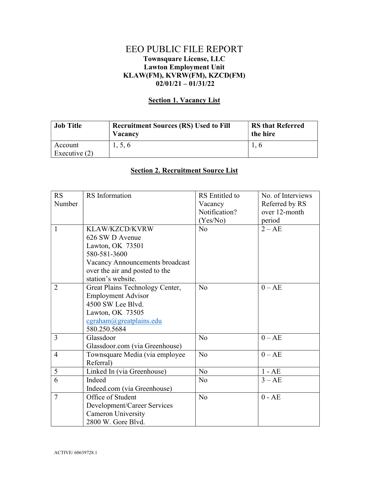## EEO PUBLIC FILE REPORT Townsquare License, LLC Lawton Employment Unit KLAW(FM), KVRW(FM), KZCD(FM)  $02/01/21 - 01/31/22$

## Section 1. Vacancy List

| <b>Job Title</b> | <b>Recruitment Sources (RS) Used to Fill</b><br>Vacancy | <b>RS that Referred</b><br>the hire |
|------------------|---------------------------------------------------------|-------------------------------------|
| Account          | 1, 5, 6                                                 |                                     |
| Executive $(2)$  |                                                         |                                     |

## Section 2. Recruitment Source List

| RS             | RS Information                  | RS Entitled to | No. of Interviews |
|----------------|---------------------------------|----------------|-------------------|
| Number         |                                 | Vacancy        | Referred by RS    |
|                |                                 | Notification?  | over 12-month     |
|                |                                 | (Yes/No)       | period            |
| 1              | KLAW/KZCD/KVRW                  | N <sub>0</sub> | $2 - AE$          |
|                | 626 SW D Avenue                 |                |                   |
|                | Lawton, OK 73501                |                |                   |
|                | 580-581-3600                    |                |                   |
|                | Vacancy Announcements broadcast |                |                   |
|                | over the air and posted to the  |                |                   |
|                | station's website.              |                |                   |
| $\overline{2}$ | Great Plains Technology Center, | N <sub>o</sub> | $0 - AE$          |
|                | <b>Employment Advisor</b>       |                |                   |
|                | 4500 SW Lee Blvd.               |                |                   |
|                | Lawton, OK 73505                |                |                   |
|                | cgraham@greatplains.edu         |                |                   |
|                | 580.250.5684                    |                |                   |
| $\overline{3}$ | Glassdoor                       | N <sub>o</sub> | $0 - AE$          |
|                | Glassdoor.com (via Greenhouse)  |                |                   |
| $\overline{4}$ | Townsquare Media (via employee  | No             | $0 - AE$          |
|                | Referral)                       |                |                   |
| 5              | Linked In (via Greenhouse)      | N <sub>o</sub> | $1 - AE$          |
| 6              | Indeed                          | No             | $3 - AE$          |
|                | Indeed.com (via Greenhouse)     |                |                   |
| $\overline{7}$ | Office of Student               | N <sub>o</sub> | $0 - AE$          |
|                | Development/Career Services     |                |                   |
|                | <b>Cameron University</b>       |                |                   |
|                | 2800 W. Gore Blvd.              |                |                   |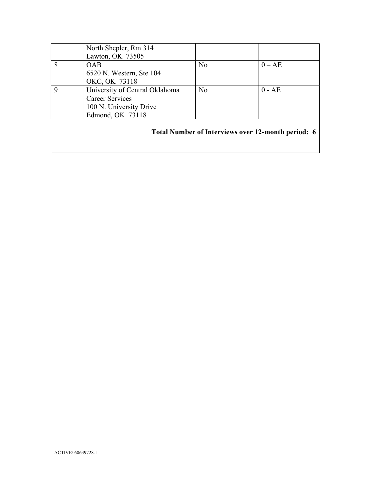|   | North Shepler, Rm 314<br>Lawton, OK 73505                                                               |                |                                                    |
|---|---------------------------------------------------------------------------------------------------------|----------------|----------------------------------------------------|
| 8 | <b>OAB</b><br>6520 N. Western, Ste 104<br>OKC, OK 73118                                                 | N <sub>o</sub> | $0 - AE$                                           |
| 9 | University of Central Oklahoma<br><b>Career Services</b><br>100 N. University Drive<br>Edmond, OK 73118 | N <sub>o</sub> | $0 - AE$                                           |
|   |                                                                                                         |                | Total Number of Interviews over 12-month period: 6 |